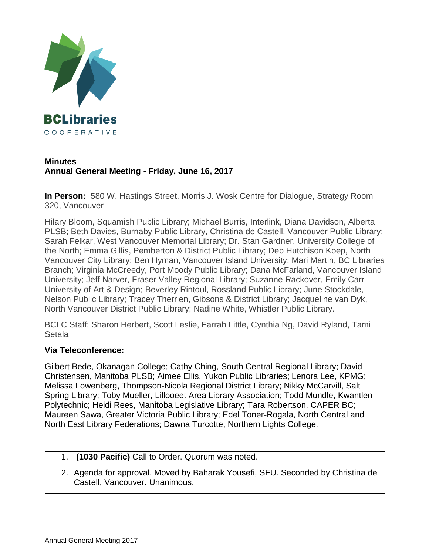

## **Minutes Annual General Meeting - Friday, June 16, 2017**

**In Person:** 580 W. Hastings Street, Morris J. Wosk Centre for Dialogue, Strategy Room 320, Vancouver

Hilary Bloom, Squamish Public Library; Michael Burris, Interlink, Diana Davidson, Alberta PLSB; Beth Davies, Burnaby Public Library, Christina de Castell, Vancouver Public Library; Sarah Felkar, West Vancouver Memorial Library; Dr. Stan Gardner, University College of the North; Emma Gillis, Pemberton & District Public Library; Deb Hutchison Koep, North Vancouver City Library; Ben Hyman, Vancouver Island University; Mari Martin, BC Libraries Branch; Virginia McCreedy, Port Moody Public Library; Dana McFarland, Vancouver Island University; Jeff Narver, Fraser Valley Regional Library; Suzanne Rackover, Emily Carr University of Art & Design; Beverley Rintoul, Rossland Public Library; June Stockdale, Nelson Public Library; Tracey Therrien, Gibsons & District Library; Jacqueline van Dyk, North Vancouver District Public Library; Nadine White, Whistler Public Library.

BCLC Staff: Sharon Herbert, Scott Leslie, Farrah Little, Cynthia Ng, David Ryland, Tami Setala

## **Via Teleconference:**

Gilbert Bede, Okanagan College; Cathy Ching, South Central Regional Library; David Christensen, Manitoba PLSB; Aimee Ellis, Yukon Public Libraries; Lenora Lee, KPMG; Melissa Lowenberg, Thompson-Nicola Regional District Library; Nikky McCarvill, Salt Spring Library; Toby Mueller, Lillooeet Area Library Association; Todd Mundle, Kwantlen Polytechnic; Heidi Rees, Manitoba Legislative Library; Tara Robertson, CAPER BC; Maureen Sawa, Greater Victoria Public Library; Edel Toner-Rogala, North Central and North East Library Federations; Dawna Turcotte, Northern Lights College.

- 1. **(1030 Pacific)** Call to Order. Quorum was noted.
- 2. Agenda for approval. Moved by Baharak Yousefi, SFU. Seconded by Christina de Castell, Vancouver. Unanimous.